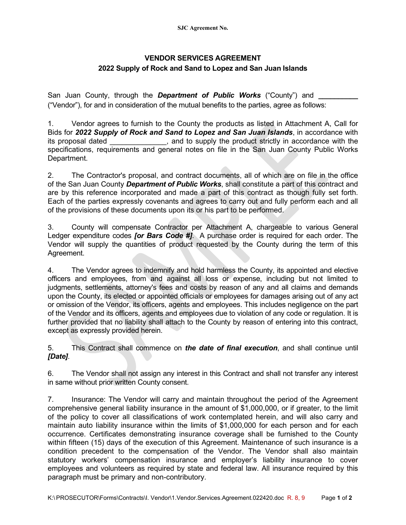## **VENDOR SERVICES AGREEMENT 2022 Supply of Rock and Sand to Lopez and San Juan Islands**

San Juan County, through the *Department of Public Works* ("County") and ("Vendor"), for and in consideration of the mutual benefits to the parties, agree as follows:

1. Vendor agrees to furnish to the County the products as listed in Attachment A, Call for Bids for *2022 Supply of Rock and Sand to Lopez and San Juan Islands*, in accordance with its proposal dated \_\_\_\_\_\_\_\_\_\_\_\_\_\_, and to supply the product strictly in accordance with the specifications, requirements and general notes on file in the San Juan County Public Works Department.

2. The Contractor's proposal, and contract documents, all of which are on file in the office of the San Juan County *Department of Public Works*, shall constitute a part of this contract and are by this reference incorporated and made a part of this contract as though fully set forth. Each of the parties expressly covenants and agrees to carry out and fully perform each and all of the provisions of these documents upon its or his part to be performed.

3. County will compensate Contractor per Attachment A, chargeable to various General Ledger expenditure codes *[or Bars Code #]*. A purchase order is required for each order. The Vendor will supply the quantities of product requested by the County during the term of this Agreement.

4. The Vendor agrees to indemnify and hold harmless the County, its appointed and elective officers and employees, from and against all loss or expense, including but not limited to judgments, settlements, attorney's fees and costs by reason of any and all claims and demands upon the County, its elected or appointed officials or employees for damages arising out of any act or omission of the Vendor, its officers, agents and employees. This includes negligence on the part of the Vendor and its officers, agents and employees due to violation of any code or regulation. It is further provided that no liability shall attach to the County by reason of entering into this contract, except as expressly provided herein.

5. This Contract shall commence on *the date of final execution*, and shall continue until *[Date]*.

6. The Vendor shall not assign any interest in this Contract and shall not transfer any interest in same without prior written County consent.

7. Insurance: The Vendor will carry and maintain throughout the period of the Agreement comprehensive general liability insurance in the amount of \$1,000,000, or if greater, to the limit of the policy to cover all classifications of work contemplated herein, and will also carry and maintain auto liability insurance within the limits of \$1,000,000 for each person and for each occurrence. Certificates demonstrating insurance coverage shall be furnished to the County within fifteen (15) days of the execution of this Agreement. Maintenance of such insurance is a condition precedent to the compensation of the Vendor. The Vendor shall also maintain statutory workers' compensation insurance and employer's liability insurance to cover employees and volunteers as required by state and federal law. All insurance required by this paragraph must be primary and non-contributory.